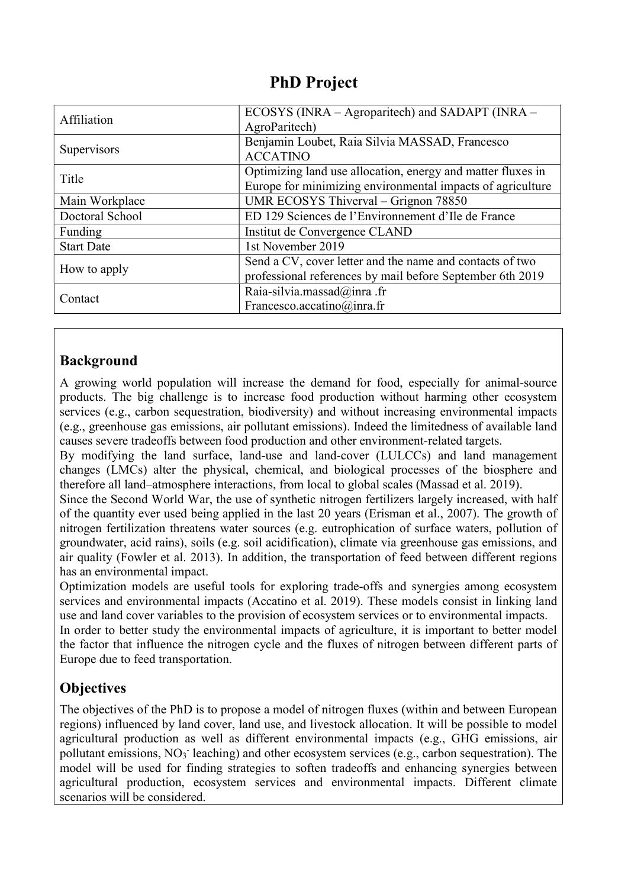## PhD Project

| Affiliation        | ECOSYS (INRA – Agroparitech) and SADAPT (INRA –<br>AgroParitech)                                                          |
|--------------------|---------------------------------------------------------------------------------------------------------------------------|
| <b>Supervisors</b> | Benjamin Loubet, Raia Silvia MASSAD, Francesco<br><b>ACCATINO</b>                                                         |
| Title              | Optimizing land use allocation, energy and matter fluxes in<br>Europe for minimizing environmental impacts of agriculture |
| Main Workplace     | UMR ECOSYS Thiverval - Grignon 78850                                                                                      |
| Doctoral School    | ED 129 Sciences de l'Environnement d'Ile de France                                                                        |
| Funding            | Institut de Convergence CLAND                                                                                             |
| <b>Start Date</b>  | 1st November 2019                                                                                                         |
| How to apply       | Send a CV, cover letter and the name and contacts of two<br>professional references by mail before September 6th 2019     |
| Contact            | Raia-silvia.massad@inra.fr<br>Francesco.accatino@inra.fr                                                                  |

#### Background

A growing world population will increase the demand for food, especially for animal-source products. The big challenge is to increase food production without harming other ecosystem services (e.g., carbon sequestration, biodiversity) and without increasing environmental impacts (e.g., greenhouse gas emissions, air pollutant emissions). Indeed the limitedness of available land causes severe tradeoffs between food production and other environment-related targets.

By modifying the land surface, land-use and land-cover (LULCCs) and land management changes (LMCs) alter the physical, chemical, and biological processes of the biosphere and therefore all land–atmosphere interactions, from local to global scales (Massad et al. 2019).

Since the Second World War, the use of synthetic nitrogen fertilizers largely increased, with half of the quantity ever used being applied in the last 20 years (Erisman et al., 2007). The growth of nitrogen fertilization threatens water sources (e.g. eutrophication of surface waters, pollution of groundwater, acid rains), soils (e.g. soil acidification), climate via greenhouse gas emissions, and air quality (Fowler et al. 2013). In addition, the transportation of feed between different regions has an environmental impact.

Optimization models are useful tools for exploring trade-offs and synergies among ecosystem services and environmental impacts (Accatino et al. 2019). These models consist in linking land use and land cover variables to the provision of ecosystem services or to environmental impacts. In order to better study the environmental impacts of agriculture, it is important to better model the factor that influence the nitrogen cycle and the fluxes of nitrogen between different parts of Europe due to feed transportation.

## **Objectives**

The objectives of the PhD is to propose a model of nitrogen fluxes (within and between European regions) influenced by land cover, land use, and livestock allocation. It will be possible to model agricultural production as well as different environmental impacts (e.g., GHG emissions, air pollutant emissions, NO<sub>3</sub> leaching) and other ecosystem services (e.g., carbon sequestration). The model will be used for finding strategies to soften tradeoffs and enhancing synergies between agricultural production, ecosystem services and environmental impacts. Different climate scenarios will be considered.